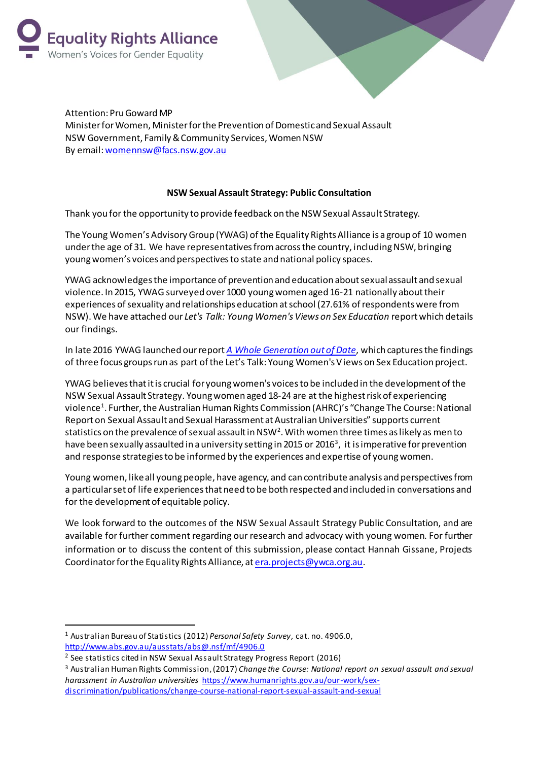



Attention: Pru Goward MP Minister for Women, Minister for the Prevention of Domestic and Sexual Assault NSW Government, Family & Community Services, Women NSW By email[: womennsw@facs.nsw.gov.au](mailto:womennsw@facs.nsw.gov.au)

## **NSW Sexual Assault Strategy: Public Consultation**

Thank you for the opportunity to provide feedback on the NSW Sexual Assault Strategy.

The Young Women's Advisory Group (YWAG) of the Equality Rights Alliance is a group of 10 women under the age of 31. We have representatives from across the country, including NSW, bringing young women's voices and perspectives to state and national policy spaces.

YWAG acknowledges the importance of prevention and education about sexual assault and sexual violence. In 2015, YWAG surveyed over 1000 young women aged 16-21 nationally about their experiences of sexuality and relationships education at school (27.61% of respondents were from NSW). We have attached our *Let's Talk: Young Women's Views on Sex Education* report which details our findings.

In late 2016 YWAG launched our report *[A Whole Generation out of Date](http://reports.equalityrightsalliance.org.au/ywag/lets-talk/)*, which captures the findings of three focus groups run as part of the Let's Talk: Young Women's Views on Sex Education project.

YWAG believes that it is crucial for young women's voices to be included in the development of the NSW Sexual Assault Strategy. Young women aged 18-24 are at the highest risk of experiencing violence<sup>1</sup>. Further, the Australian Human Rights Commission (AHRC)'s "Change The Course: National Report on Sexual Assault and Sexual Harassment at Australian Universities" supports current statistics on the prevalence of sexual assault in NSW<sup>2</sup>. With women three times as likely as men to have been sexually assaulted in a university setting in 2015 or 2016 $^{\rm 3}$ , it is imperative for prevention and response strategies to be informed by the experiences and expertise of young women.

Young women, like all young people, have agency, and can contribute analysis and perspectives from a particular set of life experiences that need to be both respected and included in conversations and for the development of equitable policy.

We look forward to the outcomes of the NSW Sexual Assault Strategy Public Consultation, and are available for further comment regarding our research and advocacy with young women. For further information or to discuss the content of this submission, please contact Hannah Gissane, Projects Coordinator for the Equality Rights Alliance, a[t era.projects@ywca.org.au](mailto:era.projects@ywca.org.au).

 $\overline{a}$ 

<sup>1</sup> Australian Bureau of Statistics (2012) *Personal Safety Survey*, cat. no. 4906.0, <http://www.abs.gov.au/ausstats/abs@.nsf/mf/4906.0>

<sup>2</sup> See statistics cited in NSW Sexual Assault Strategy Progress Report (2016)

<sup>3</sup> Australian Human Rights Commission, (2017) *Change the Course: National report on sexual assault and sexual harassment in Australian universities* [https://www.humanrights.gov.au/our-work/sex](https://www.humanrights.gov.au/our-work/sex-discrimination/publications/change-course-national-report-sexual-assault-and-sexual)[discrimination/publications/change-course-national-report-sexual-assault-and-sexual](https://www.humanrights.gov.au/our-work/sex-discrimination/publications/change-course-national-report-sexual-assault-and-sexual)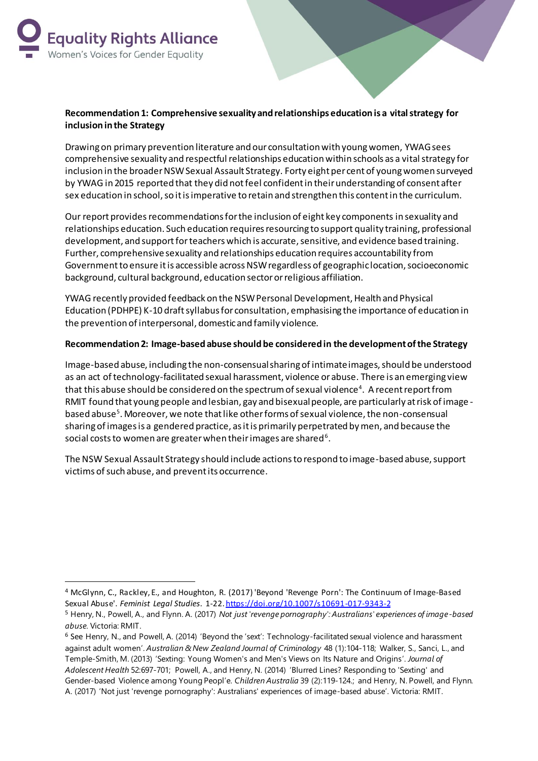

 $\overline{a}$ 

## **Recommendation 1: Comprehensive sexuality and relationships education is a vital strategy for inclusion in the Strategy**

Drawing on primary prevention literature and our consultation with young women, YWAG sees comprehensive sexuality and respectful relationships education within schools as a vital strategy for inclusion in the broader NSW Sexual Assault Strategy. Forty eight per cent of young women surveyed by YWAG in 2015 reported that they did not feel confident in their understanding of consent after sex education in school, so it is imperative to retain and strengthen this content in the curriculum.

Our report provides recommendations for the inclusion of eight key components in sexuality and relationships education. Such education requires resourcing to support quality training, professional development, and support for teachers which is accurate, sensitive, and evidence based training. Further, comprehensivesexuality and relationships education requires accountability from Government to ensure it is accessible across NSW regardless of geographic location, socioeconomic background, cultural background, education sector or religious affiliation.

YWAG recently provided feedback on the NSW Personal Development, Health and Physical Education (PDHPE) K-10 draft syllabus for consultation, emphasising the importance of education in the prevention of interpersonal, domestic and family violence.

## **Recommendation 2: Image-based abuse should be considered in the development of the Strategy**

Image-based abuse, including the non-consensual sharing of intimate images,should be understood as an act of technology-facilitated sexual harassment, violence or abuse. There is an emerging view that this abuse should be considered on the spectrum of sexual violence $^{\text{4}}$ . A recent report from RMIT found that young people and lesbian, gay and bisexual people, are particularly at risk of image based abuse<sup>5</sup>. Moreover, we note that like other forms of sexual violence, the non-consensual sharing of images is a gendered practice, as it is primarily perpetrated by men, and because the social costs to women are greater when their images are shared  $^6$  .

The NSW Sexual Assault Strategy should include actions to respond to image-based abuse, support victims of such abuse, and prevent its occurrence.

<sup>4</sup> McGlynn, C., Rackley, E., and Houghton, R. (2017) 'Beyond 'Revenge Porn': The Continuum of Image-Based Sexual Abuse'. *Feminist Legal Studies*. 1-22. <https://doi.org/10.1007/s10691-017-9343-2>

<sup>5</sup> Henry, N., Powell, A., and Flynn. A. (2017) *Not just 'revenge pornography': Australians' experiences of image-based abuse.* Victoria: RMIT.

<sup>6</sup> See Henry, N., and Powell, A. (2014) 'Beyond the 'sext': Technology-facilitated sexual violence and harassment against adult women'. *Australian & New Zealand Journal of Criminology* 48 (1):104-118; Walker, S., Sanci, L., and Temple-Smith, M. (2013) 'Sexting: Young Women's and Men's Views on Its Nature and Origins'. *Journal of Adolescent Health* 52:697-701; Powell, A., and Henry, N. (2014) 'Blurred Lines? Responding to 'Sexting' and Gender-based Violence among Young Peopl'e. *Children Australia* 39 (2):119-124.; and Henry, N. Powell, and Flynn. A. (2017) 'Not just 'revenge pornography': Australians' experiences of image-based abuse'. Victoria: RMIT.